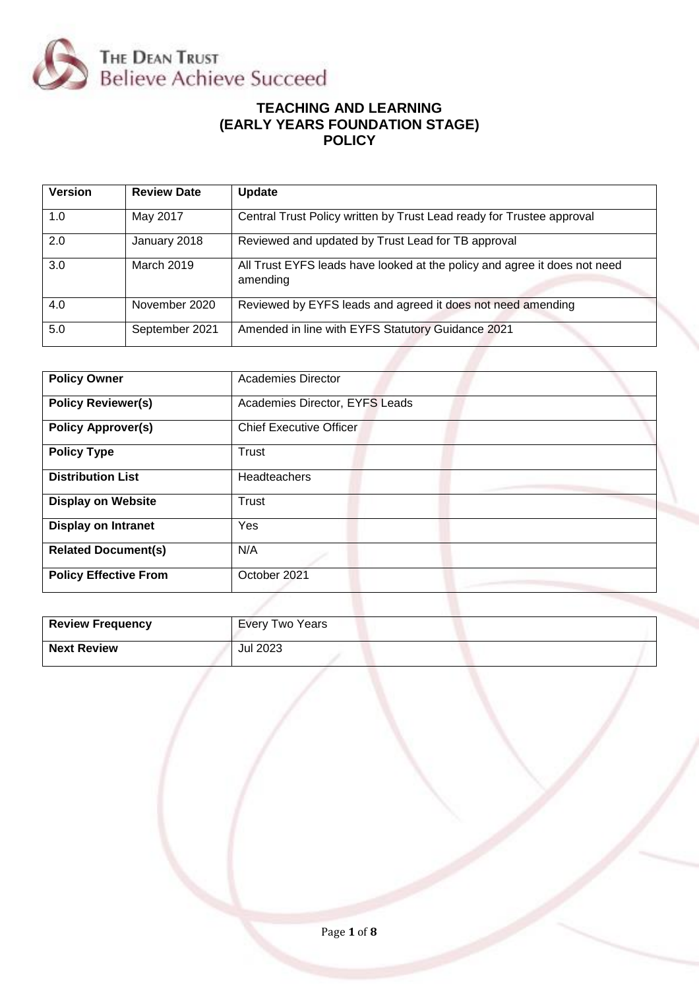

## **TEACHING AND LEARNING (EARLY YEARS FOUNDATION STAGE) POLICY**

| <b>Version</b> | <b>Review Date</b> | <b>Update</b>                                                                         |
|----------------|--------------------|---------------------------------------------------------------------------------------|
| 1.0            | May 2017           | Central Trust Policy written by Trust Lead ready for Trustee approval                 |
| 2.0            | January 2018       | Reviewed and updated by Trust Lead for TB approval                                    |
| 3.0            | March 2019         | All Trust EYFS leads have looked at the policy and agree it does not need<br>amending |
| 4.0            | November 2020      | Reviewed by EYFS leads and agreed it does not need amending                           |
| 5.0            | September 2021     | Amended in line with EYFS Statutory Guidance 2021                                     |
|                |                    |                                                                                       |

| <b>Policy Owner</b>          | Academies Director             |  |
|------------------------------|--------------------------------|--|
| <b>Policy Reviewer(s)</b>    | Academies Director, EYFS Leads |  |
| <b>Policy Approver(s)</b>    | <b>Chief Executive Officer</b> |  |
| <b>Policy Type</b>           | Trust                          |  |
| <b>Distribution List</b>     | Headteachers                   |  |
| <b>Display on Website</b>    | Trust                          |  |
| <b>Display on Intranet</b>   | Yes                            |  |
| <b>Related Document(s)</b>   | N/A                            |  |
| <b>Policy Effective From</b> | October 2021                   |  |
|                              |                                |  |

| <b>Review Frequency</b> | <b>Every Two Years</b> |
|-------------------------|------------------------|
| <b>Next Review</b>      | Jul 2023               |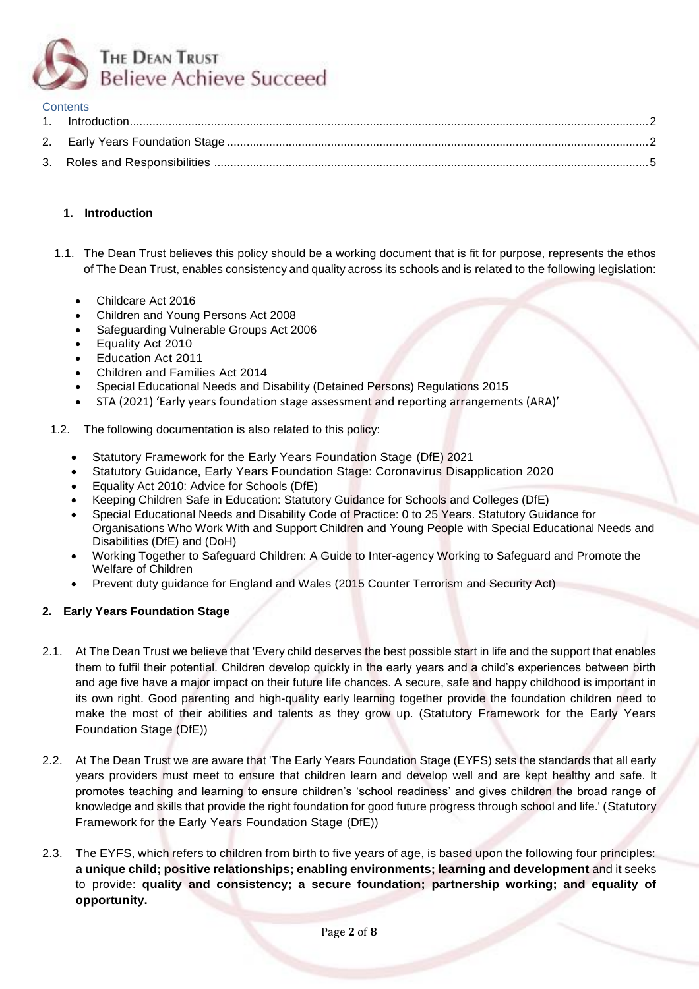

#### **Contents**

## <span id="page-1-0"></span>**1. Introduction**

- 1.1. The Dean Trust believes this policy should be a working document that is fit for purpose, represents the ethos of The Dean Trust, enables consistency and quality across its schools and is related to the following legislation:
	- Childcare Act 2016
	- Children and Young Persons Act 2008
	- Safeguarding Vulnerable Groups Act 2006
	- Equality Act 2010
	- Education Act 2011
	- Children and Families Act 2014
	- Special Educational Needs and Disability (Detained Persons) Regulations 2015
	- STA (2021) 'Early years foundation stage assessment and reporting arrangements (ARA)'
- 1.2. The following documentation is also related to this policy:
	- Statutory Framework for the Early Years Foundation Stage (DfE) 2021
	- Statutory Guidance, Early Years Foundation Stage: Coronavirus Disapplication 2020
	- Equality Act 2010: Advice for Schools (DfE)
	- Keeping Children Safe in Education: Statutory Guidance for Schools and Colleges (DfE)
	- Special Educational Needs and Disability Code of Practice: 0 to 25 Years. Statutory Guidance for Organisations Who Work With and Support Children and Young People with Special Educational Needs and Disabilities (DfE) and (DoH)
	- Working Together to Safeguard Children: A Guide to Inter-agency Working to Safeguard and Promote the Welfare of Children
	- Prevent duty guidance for England and Wales (2015 Counter Terrorism and Security Act)

## <span id="page-1-1"></span>**2. Early Years Foundation Stage**

- 2.1. At The Dean Trust we believe that 'Every child deserves the best possible start in life and the support that enables them to fulfil their potential. Children develop quickly in the early years and a child's experiences between birth and age five have a major impact on their future life chances. A secure, safe and happy childhood is important in its own right. Good parenting and high-quality early learning together provide the foundation children need to make the most of their abilities and talents as they grow up. (Statutory Framework for the Early Years Foundation Stage (DfE))
- 2.2. At The Dean Trust we are aware that 'The Early Years Foundation Stage (EYFS) sets the standards that all early years providers must meet to ensure that children learn and develop well and are kept healthy and safe. It promotes teaching and learning to ensure children's 'school readiness' and gives children the broad range of knowledge and skills that provide the right foundation for good future progress through school and life.' (Statutory Framework for the Early Years Foundation Stage (DfE))
- 2.3. The EYFS, which refers to children from birth to five years of age, is based upon the following four principles: **a unique child; positive relationships; enabling environments; learning and development** and it seeks to provide: **quality and consistency; a secure foundation; partnership working; and equality of opportunity.**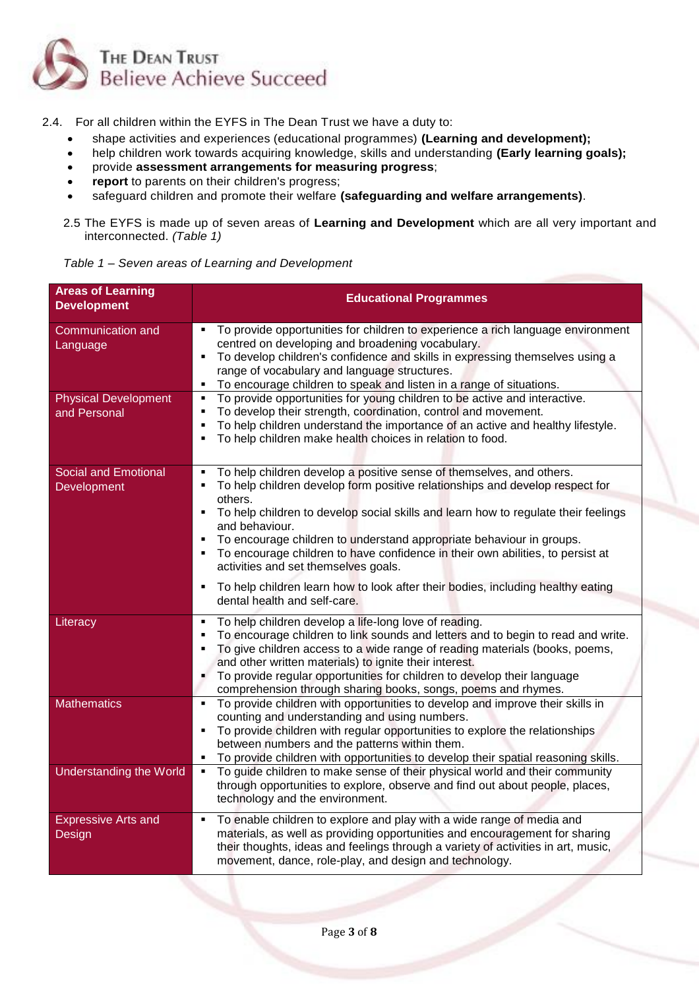

2.4. For all children within the EYFS in The Dean Trust we have a duty to:

- shape activities and experiences (educational programmes) **(Learning and development);**
- help children work towards acquiring knowledge, skills and understanding **(Early learning goals);**
- provide **assessment arrangements for measuring progress**;
- report to parents on their children's progress;
- safeguard children and promote their welfare **(safeguarding and welfare arrangements)**.
- 2.5 The EYFS is made up of seven areas of **Learning and Development** which are all very important and interconnected. *(Table 1)*

| <b>Areas of Learning</b><br><b>Development</b> | <b>Educational Programmes</b>                                                                                                                                                                                                                                                                                                                                                                                                                      |
|------------------------------------------------|----------------------------------------------------------------------------------------------------------------------------------------------------------------------------------------------------------------------------------------------------------------------------------------------------------------------------------------------------------------------------------------------------------------------------------------------------|
| <b>Communication and</b><br>Language           | To provide opportunities for children to experience a rich language environment<br>٠<br>centred on developing and broadening vocabulary.<br>To develop children's confidence and skills in expressing themselves using a<br>٠<br>range of vocabulary and language structures.<br>To encourage children to speak and listen in a range of situations.<br>٠                                                                                          |
| <b>Physical Development</b><br>and Personal    | To provide opportunities for young children to be active and interactive.<br>٠<br>To develop their strength, coordination, control and movement.<br>$\blacksquare$<br>To help children understand the importance of an active and healthy lifestyle.<br>٠<br>To help children make health choices in relation to food.<br>٠                                                                                                                        |
| <b>Social and Emotional</b><br>Development     | To help children develop a positive sense of themselves, and others.<br>٠<br>To help children develop form positive relationships and develop respect for<br>٠                                                                                                                                                                                                                                                                                     |
|                                                | others.<br>To help children to develop social skills and learn how to regulate their feelings<br>$\blacksquare$<br>and behaviour.<br>To encourage children to understand appropriate behaviour in groups.<br>٠<br>To encourage children to have confidence in their own abilities, to persist at<br>٠<br>activities and set themselves goals.                                                                                                      |
|                                                | To help children learn how to look after their bodies, including healthy eating<br>٠<br>dental health and self-care.                                                                                                                                                                                                                                                                                                                               |
| Literacy                                       | To help children develop a life-long love of reading.<br>٠<br>To encourage children to link sounds and letters and to begin to read and write.<br>п<br>To give children access to a wide range of reading materials (books, poems,<br>٠<br>and other written materials) to ignite their interest.<br>To provide regular opportunities for children to develop their language<br>٠<br>comprehension through sharing books, songs, poems and rhymes. |
| <b>Mathematics</b>                             | To provide children with opportunities to develop and improve their skills in<br>$\blacksquare$<br>counting and understanding and using numbers.<br>To provide children with regular opportunities to explore the relationships<br>٠<br>between numbers and the patterns within them.<br>To provide children with opportunities to develop their spatial reasoning skills.<br>٠                                                                    |
| <b>Understanding the World</b>                 | To guide children to make sense of their physical world and their community<br>٠<br>through opportunities to explore, observe and find out about people, places,<br>technology and the environment.                                                                                                                                                                                                                                                |
| <b>Expressive Arts and</b><br>Design           | To enable children to explore and play with a wide range of media and<br>٠<br>materials, as well as providing opportunities and encouragement for sharing<br>their thoughts, ideas and feelings through a variety of activities in art, music,<br>movement, dance, role-play, and design and technology.                                                                                                                                           |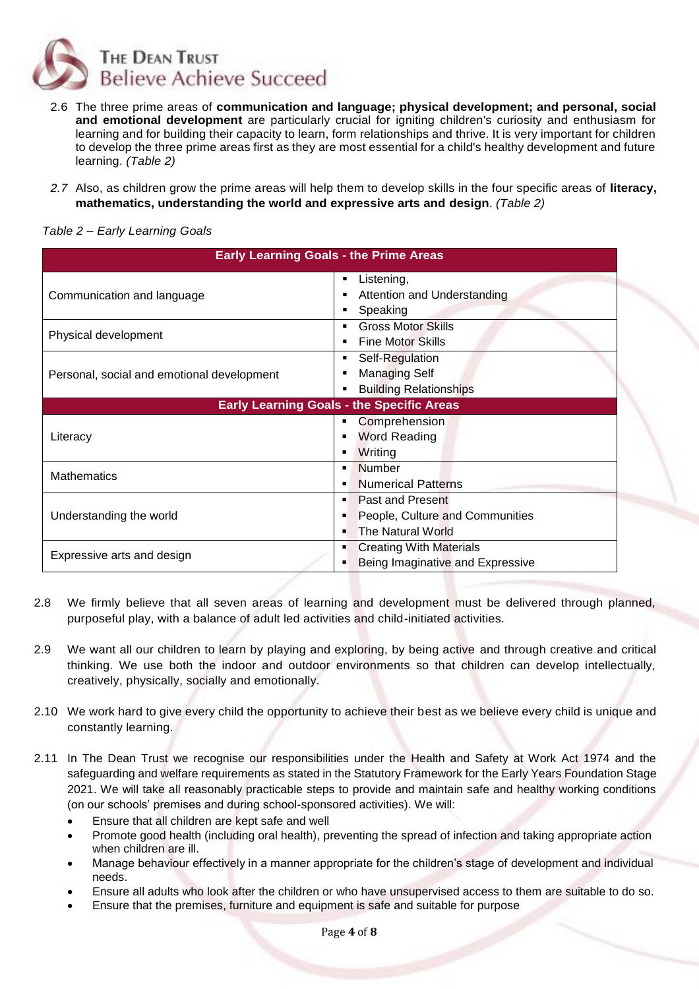

- 2.6 The three prime areas of **communication and language; physical development; and personal, social and emotional development** are particularly crucial for igniting children's curiosity and enthusiasm for learning and for building their capacity to learn, form relationships and thrive. It is very important for children to develop the three prime areas first as they are most essential for a child's healthy development and future learning. *(Table 2)*
- *2.7* Also, as children grow the prime areas will help them to develop skills in the four specific areas of **literacy, mathematics, understanding the world and expressive arts and design**. *(Table 2)*

| <b>Early Learning Goals - the Prime Areas</b>    |                                            |  |  |
|--------------------------------------------------|--------------------------------------------|--|--|
|                                                  | Listening,<br>٠                            |  |  |
| Communication and language                       | Attention and Understanding<br>п           |  |  |
|                                                  | Speaking<br>п                              |  |  |
| Physical development                             | <b>Gross Motor Skills</b><br>٠             |  |  |
|                                                  | <b>Fine Motor Skills</b><br>$\blacksquare$ |  |  |
|                                                  | Self-Regulation<br>٠                       |  |  |
| Personal, social and emotional development       | <b>Managing Self</b><br>$\blacksquare$     |  |  |
|                                                  | <b>Building Relationships</b><br>٠         |  |  |
| <b>Early Learning Goals - the Specific Areas</b> |                                            |  |  |
|                                                  | Comprehension<br>٠                         |  |  |
| Literacy                                         | <b>Word Reading</b><br>٠                   |  |  |
|                                                  | Writing<br>٠                               |  |  |
| <b>Mathematics</b>                               | <b>Number</b><br>٠                         |  |  |
|                                                  | <b>Numerical Patterns</b><br>٠             |  |  |
|                                                  | <b>Past and Present</b><br>٠               |  |  |
| Understanding the world                          | People, Culture and Communities<br>٠       |  |  |
|                                                  | <b>The Natural World</b><br>٠              |  |  |
|                                                  | <b>Creating With Materials</b><br>٠        |  |  |
| Expressive arts and design                       | Being Imaginative and Expressive           |  |  |

## *Table 2 – Early Learning Goals*

- 2.8 We firmly believe that all seven areas of learning and development must be delivered through planned, purposeful play, with a balance of adult led activities and child-initiated activities.
- 2.9 We want all our children to learn by playing and exploring, by being active and through creative and critical thinking. We use both the indoor and outdoor environments so that children can develop intellectually, creatively, physically, socially and emotionally.
- 2.10 We work hard to give every child the opportunity to achieve their best as we believe every child is unique and constantly learning.
- 2.11 In The Dean Trust we recognise our responsibilities under the Health and Safety at Work Act 1974 and the safeguarding and welfare requirements as stated in the Statutory Framework for the Early Years Foundation Stage 2021. We will take all reasonably practicable steps to provide and maintain safe and healthy working conditions (on our schools' premises and during school-sponsored activities). We will:
	- Ensure that all children are kept safe and well
	- Promote good health (including oral health), preventing the spread of infection and taking appropriate action when children are ill.
	- Manage behaviour effectively in a manner appropriate for the children's stage of development and individual needs.
	- Ensure all adults who look after the children or who have unsupervised access to them are suitable to do so.
	- Ensure that the premises, furniture and equipment is safe and suitable for purpose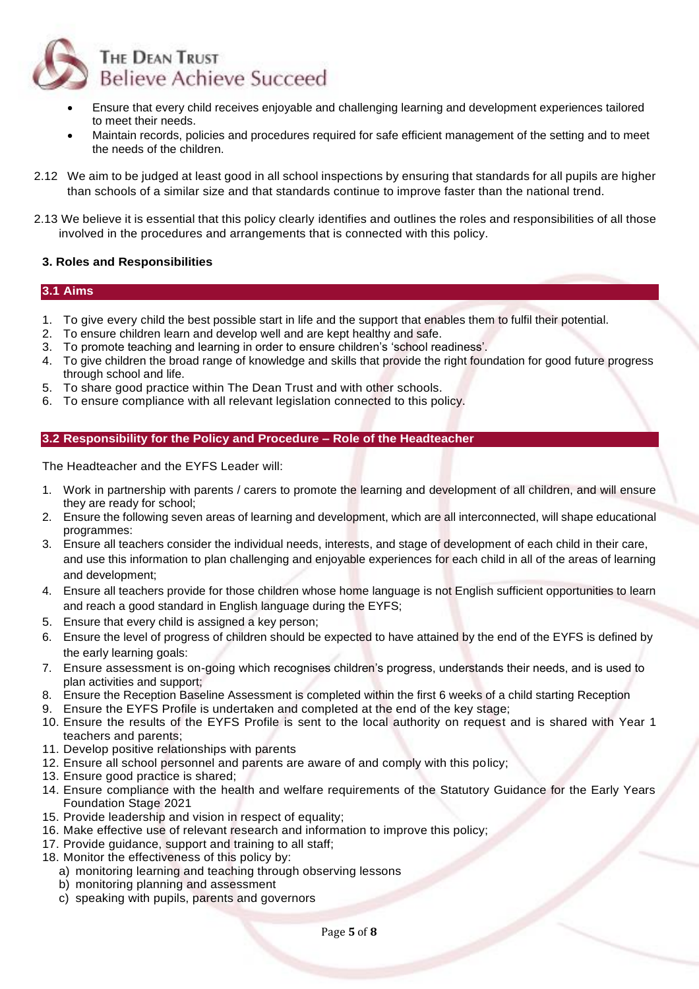

- Ensure that every child receives enjoyable and challenging learning and development experiences tailored to meet their needs.
- Maintain records, policies and procedures required for safe efficient management of the setting and to meet the needs of the children.
- 2.12 We aim to be judged at least good in all school inspections by ensuring that standards for all pupils are higher than schools of a similar size and that standards continue to improve faster than the national trend.
- 2.13 We believe it is essential that this policy clearly identifies and outlines the roles and responsibilities of all those involved in the procedures and arrangements that is connected with this policy.

#### <span id="page-4-0"></span>**3. Roles and Responsibilities**

#### **3.1 Aims**

- 1. To give every child the best possible start in life and the support that enables them to fulfil their potential.
- 2. To ensure children learn and develop well and are kept healthy and safe.
- 3. To promote teaching and learning in order to ensure children's 'school readiness'.
- 4. To give children the broad range of knowledge and skills that provide the right foundation for good future progress through school and life.
- 5. To share good practice within The Dean Trust and with other schools.
- 6. To ensure compliance with all relevant legislation connected to this policy.

#### **3.2 Responsibility for the Policy and Procedure – Role of the Headteacher**

The Headteacher and the EYFS Leader will:

- 1. Work in partnership with parents / carers to promote the learning and development of all children, and will ensure they are ready for school;
- 2. Ensure the following seven areas of learning and development, which are all interconnected, will shape educational programmes:
- 3. Ensure all teachers consider the individual needs, interests, and stage of development of each child in their care, and use this information to plan challenging and enjoyable experiences for each child in all of the areas of learning and development;
- 4. Ensure all teachers provide for those children whose home language is not English sufficient opportunities to learn and reach a good standard in English language during the EYFS;
- 5. Ensure that every child is assigned a key person;
- 6. Ensure the level of progress of children should be expected to have attained by the end of the EYFS is defined by the early learning goals:
- 7. Ensure assessment is on-going which recognises children's progress, understands their needs, and is used to plan activities and support;
- 8. Ensure the Reception Baseline Assessment is completed within the first 6 weeks of a child starting Reception
- 9. Ensure the EYFS Profile is undertaken and completed at the end of the key stage;
- 10. Ensure the results of the EYFS Profile is sent to the local authority on request and is shared with Year 1 teachers and parents;
- 11. Develop positive relationships with parents
- 12. Ensure all school personnel and parents are aware of and comply with this policy;
- 13. Ensure good practice is shared;
- 14. Ensure compliance with the health and welfare requirements of the Statutory Guidance for the Early Years Foundation Stage 2021
- 15. Provide leadership and vision in respect of equality;
- 16. Make effective use of relevant research and information to improve this policy;
- 17. Provide guidance, support and training to all staff:
- 18. Monitor the effectiveness of this policy by:
	- a) monitoring learning and teaching through observing lessons
	- b) monitoring planning and assessment
	- c) speaking with pupils, parents and governors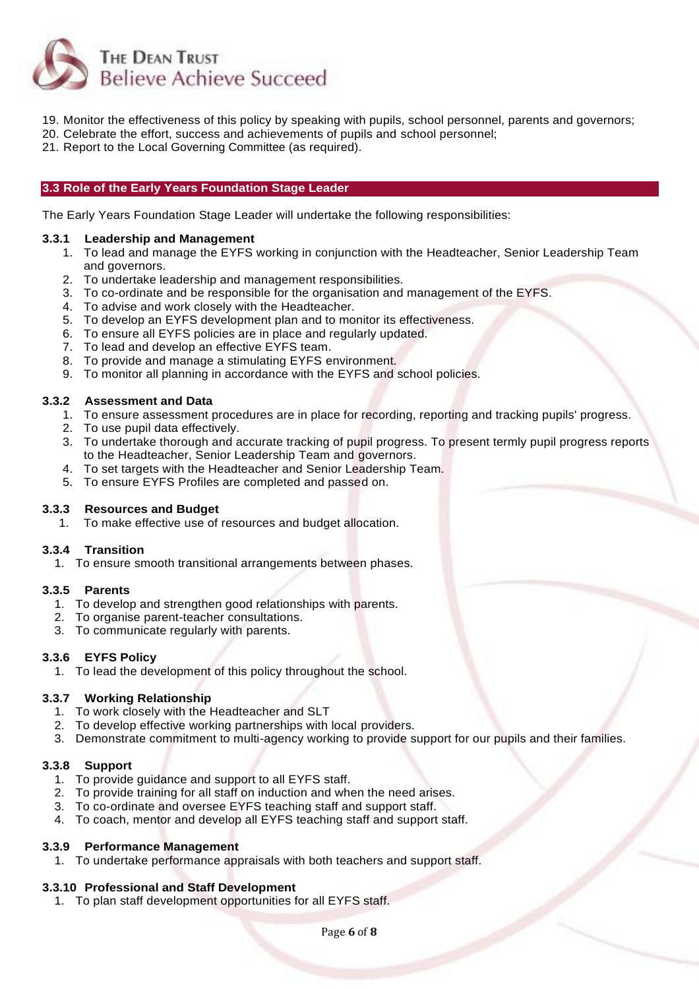

- 19. Monitor the effectiveness of this policy by speaking with pupils, school personnel, parents and governors;
- 20. Celebrate the effort, success and achievements of pupils and school personnel;
- 21. Report to the Local Governing Committee (as required).

#### **3.3 Role of the Early Years Foundation Stage Leader**

The Early Years Foundation Stage Leader will undertake the following responsibilities:

#### **3.3.1 Leadership and Management**

- 1. To lead and manage the EYFS working in conjunction with the Headteacher, Senior Leadership Team and governors.
- 2. To undertake leadership and management responsibilities.
- 3. To co-ordinate and be responsible for the organisation and management of the EYFS.
- 4. To advise and work closely with the Headteacher.
- 5. To develop an EYFS development plan and to monitor its effectiveness.
- 6. To ensure all EYFS policies are in place and regularly updated.
- 7. To lead and develop an effective EYFS team.
- 8. To provide and manage a stimulating EYFS environment.
- 9. To monitor all planning in accordance with the EYFS and school policies.

## **3.3.2 Assessment and Data**

- 1. To ensure assessment procedures are in place for recording, reporting and tracking pupils' progress.
- 2. To use pupil data effectively.
- 3. To undertake thorough and accurate tracking of pupil progress. To present termly pupil progress reports to the Headteacher, Senior Leadership Team and governors.
- 4. To set targets with the Headteacher and Senior Leadership Team.
- 5. To ensure EYFS Profiles are completed and passed on.

## **3.3.3 Resources and Budget**

1. To make effective use of resources and budget allocation.

## **3.3.4 Transition**

1. To ensure smooth transitional arrangements between phases.

## **3.3.5 Parents**

- 1. To develop and strengthen good relationships with parents.
- 2. To organise parent-teacher consultations.
- 3. To communicate regularly with parents.

#### **3.3.6 EYFS Policy**

1. To lead the development of this policy throughout the school.

## **3.3.7 Working Relationship**

- 1. To work closely with the Headteacher and SLT
- 2. To develop effective working partnerships with local providers.
- 3. Demonstrate commitment to multi-agency working to provide support for our pupils and their families.

## **3.3.8 Support**

- 1. To provide guidance and support to all EYFS staff.
- 2. To provide training for all staff on induction and when the need arises.
- 3. To co-ordinate and oversee EYFS teaching staff and support staff.
- 4. To coach, mentor and develop all EYFS teaching staff and support staff.

## **3.3.9 Performance Management**

1. To undertake performance appraisals with both teachers and support staff.

## **3.3.10 Professional and Staff Development**

1. To plan staff development opportunities for all EYFS staff.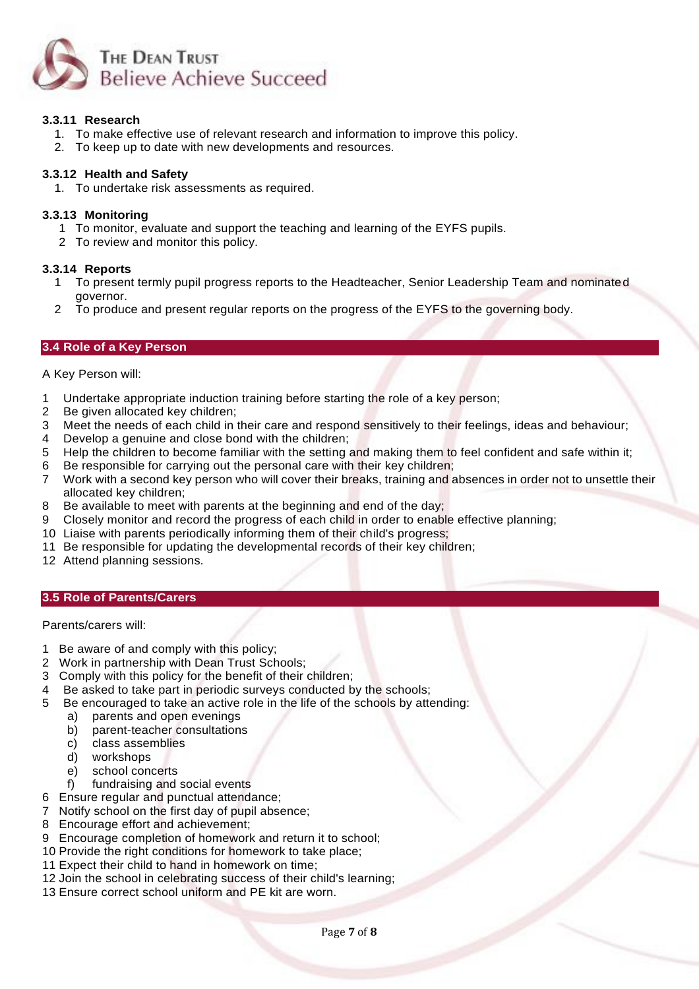

## **3.3.11 Research**

- 1. To make effective use of relevant research and information to improve this policy.
- 2. To keep up to date with new developments and resources.

### **3.3.12 Health and Safety**

1. To undertake risk assessments as required.

#### **3.3.13 Monitoring**

- 1 To monitor, evaluate and support the teaching and learning of the EYFS pupils.
- 2 To review and monitor this policy.

#### **3.3.14 Reports**

- 1 To present termly pupil progress reports to the Headteacher, Senior Leadership Team and nominated governor.
- 2 To produce and present regular reports on the progress of the EYFS to the governing body.

#### **3.4 Role of a Key Person**

A Key Person will:

- 1 Undertake appropriate induction training before starting the role of a key person;
- 2 Be given allocated key children;
- 3 Meet the needs of each child in their care and respond sensitively to their feelings, ideas and behaviour;
- 4 Develop a genuine and close bond with the children;
- 5 Help the children to become familiar with the setting and making them to feel confident and safe within it;
- 6 Be responsible for carrying out the personal care with their key children;
- 7 Work with a second key person who will cover their breaks, training and absences in order not to unsettle their allocated key children;
- 8 Be available to meet with parents at the beginning and end of the day;
- 9 Closely monitor and record the progress of each child in order to enable effective planning;
- 10 Liaise with parents periodically informing them of their child's progress;
- 11 Be responsible for updating the developmental records of their key children;
- 12 Attend planning sessions.

#### **3.5 Role of Parents/Carers**

Parents/carers will:

- 1 Be aware of and comply with this policy;
- 2 Work in partnership with Dean Trust Schools;
- 3 Comply with this policy for the benefit of their children;
- 4 Be asked to take part in periodic surveys conducted by the schools;
- 5 Be encouraged to take an active role in the life of the schools by attending:
	- a) parents and open evenings
		- b) parent-teacher consultations
		- c) class assemblies<br>d) workshops
		- workshops
		- e) school concerts
		- f) fundraising and social events
- 6 Ensure regular and punctual attendance;
- 7 Notify school on the first day of pupil absence;
- 8 Encourage effort and achievement;
- 9 Encourage completion of homework and return it to school;
- 10 Provide the right conditions for homework to take place;
- 11 Expect their child to hand in homework on time;
- 12 Join the school in celebrating success of their child's learning;
- 13 Ensure correct school uniform and PE kit are worn.